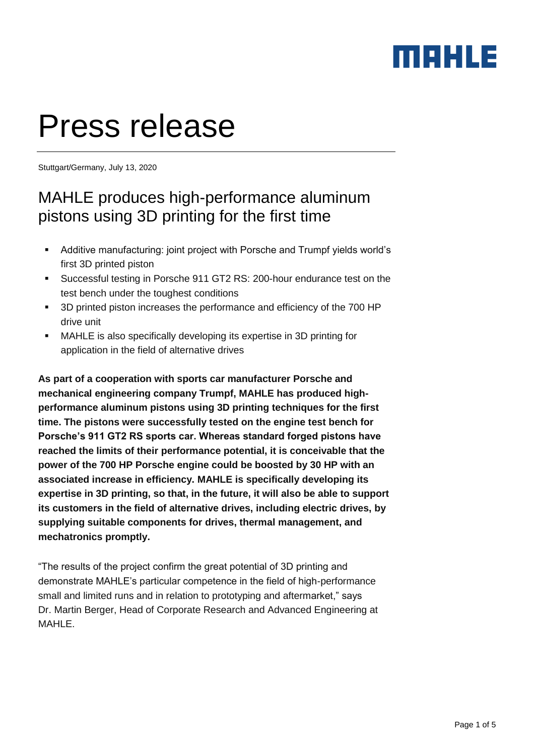### MAHLE

# Press release

Stuttgart/Germany, July 13, 2020

### MAHLE produces high-performance aluminum pistons using 3D printing for the first time

- Additive manufacturing: joint project with Porsche and Trumpf yields world's first 3D printed piston
- Successful testing in Porsche 911 GT2 RS: 200-hour endurance test on the test bench under the toughest conditions
- 3D printed piston increases the performance and efficiency of the 700 HP drive unit
- MAHLE is also specifically developing its expertise in 3D printing for application in the field of alternative drives

**As part of a cooperation with sports car manufacturer Porsche and mechanical engineering company Trumpf, MAHLE has produced highperformance aluminum pistons using 3D printing techniques for the first time. The pistons were successfully tested on the engine test bench for Porsche's 911 GT2 RS sports car. Whereas standard forged pistons have reached the limits of their performance potential, it is conceivable that the power of the 700 HP Porsche engine could be boosted by 30 HP with an associated increase in efficiency. MAHLE is specifically developing its expertise in 3D printing, so that, in the future, it will also be able to support its customers in the field of alternative drives, including electric drives, by supplying suitable components for drives, thermal management, and mechatronics promptly.**

"The results of the project confirm the great potential of 3D printing and demonstrate MAHLE's particular competence in the field of high-performance small and limited runs and in relation to prototyping and aftermarket," says Dr. Martin Berger, Head of Corporate Research and Advanced Engineering at MAHLE.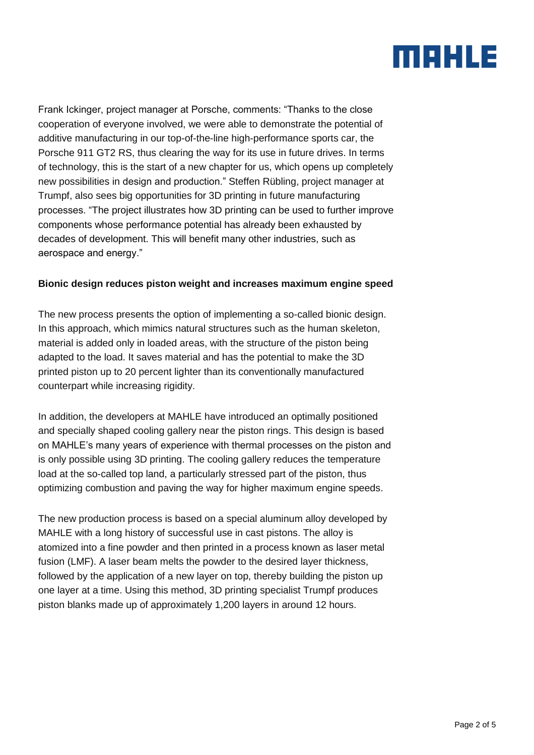## MAHLE

Frank Ickinger, project manager at Porsche, comments: "Thanks to the close cooperation of everyone involved, we were able to demonstrate the potential of additive manufacturing in our top-of-the-line high-performance sports car, the Porsche 911 GT2 RS, thus clearing the way for its use in future drives. In terms of technology, this is the start of a new chapter for us, which opens up completely new possibilities in design and production." Steffen Rübling, project manager at Trumpf, also sees big opportunities for 3D printing in future manufacturing processes. "The project illustrates how 3D printing can be used to further improve components whose performance potential has already been exhausted by decades of development. This will benefit many other industries, such as aerospace and energy."

#### **Bionic design reduces piston weight and increases maximum engine speed**

The new process presents the option of implementing a so-called bionic design. In this approach, which mimics natural structures such as the human skeleton, material is added only in loaded areas, with the structure of the piston being adapted to the load. It saves material and has the potential to make the 3D printed piston up to 20 percent lighter than its conventionally manufactured counterpart while increasing rigidity.

In addition, the developers at MAHLE have introduced an optimally positioned and specially shaped cooling gallery near the piston rings. This design is based on MAHLE's many years of experience with thermal processes on the piston and is only possible using 3D printing. The cooling gallery reduces the temperature load at the so-called top land, a particularly stressed part of the piston, thus optimizing combustion and paving the way for higher maximum engine speeds.

The new production process is based on a special aluminum alloy developed by MAHLE with a long history of successful use in cast pistons. The alloy is atomized into a fine powder and then printed in a process known as laser metal fusion (LMF). A laser beam melts the powder to the desired layer thickness, followed by the application of a new layer on top, thereby building the piston up one layer at a time. Using this method, 3D printing specialist Trumpf produces piston blanks made up of approximately 1,200 layers in around 12 hours.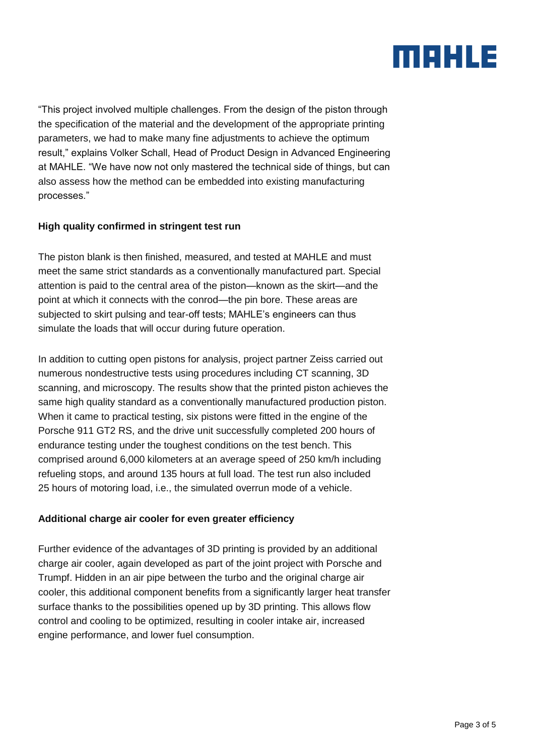## MAHLE

"This project involved multiple challenges. From the design of the piston through the specification of the material and the development of the appropriate printing parameters, we had to make many fine adjustments to achieve the optimum result," explains Volker Schall, Head of Product Design in Advanced Engineering at MAHLE. "We have now not only mastered the technical side of things, but can also assess how the method can be embedded into existing manufacturing processes."

#### **High quality confirmed in stringent test run**

The piston blank is then finished, measured, and tested at MAHLE and must meet the same strict standards as a conventionally manufactured part. Special attention is paid to the central area of the piston—known as the skirt—and the point at which it connects with the conrod—the pin bore. These areas are subjected to skirt pulsing and tear-off tests; MAHLE's engineers can thus simulate the loads that will occur during future operation.

In addition to cutting open pistons for analysis, project partner Zeiss carried out numerous nondestructive tests using procedures including CT scanning, 3D scanning, and microscopy. The results show that the printed piston achieves the same high quality standard as a conventionally manufactured production piston. When it came to practical testing, six pistons were fitted in the engine of the Porsche 911 GT2 RS, and the drive unit successfully completed 200 hours of endurance testing under the toughest conditions on the test bench. This comprised around 6,000 kilometers at an average speed of 250 km/h including refueling stops, and around 135 hours at full load. The test run also included 25 hours of motoring load, i.e., the simulated overrun mode of a vehicle.

#### **Additional charge air cooler for even greater efficiency**

Further evidence of the advantages of 3D printing is provided by an additional charge air cooler, again developed as part of the joint project with Porsche and Trumpf. Hidden in an air pipe between the turbo and the original charge air cooler, this additional component benefits from a significantly larger heat transfer surface thanks to the possibilities opened up by 3D printing. This allows flow control and cooling to be optimized, resulting in cooler intake air, increased engine performance, and lower fuel consumption.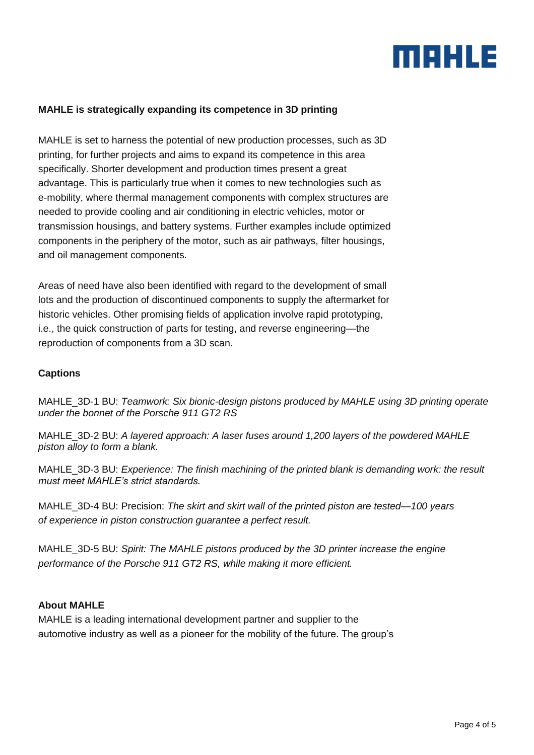

#### **MAHLE is strategically expanding its competence in 3D printing**

MAHLE is set to harness the potential of new production processes, such as 3D printing, for further projects and aims to expand its competence in this area specifically. Shorter development and production times present a great advantage. This is particularly true when it comes to new technologies such as e-mobility, where thermal management components with complex structures are needed to provide cooling and air conditioning in electric vehicles, motor or transmission housings, and battery systems. Further examples include optimized components in the periphery of the motor, such as air pathways, filter housings, and oil management components.

Areas of need have also been identified with regard to the development of small lots and the production of discontinued components to supply the aftermarket for historic vehicles. Other promising fields of application involve rapid prototyping, i.e., the quick construction of parts for testing, and reverse engineering—the reproduction of components from a 3D scan.

#### **Captions**

MAHLE\_3D-1 BU: *Teamwork: Six bionic-design pistons produced by MAHLE using 3D printing operate under the bonnet of the Porsche 911 GT2 RS*

MAHLE\_3D-2 BU: *A layered approach: A laser fuses around 1,200 layers of the powdered MAHLE piston alloy to form a blank.* 

MAHLE\_3D-3 BU: *Experience: The finish machining of the printed blank is demanding work: the result must meet MAHLE's strict standards.*

MAHLE\_3D-4 BU: Precision: *The skirt and skirt wall of the printed piston are tested—100 years of experience in piston construction guarantee a perfect result.*

MAHLE\_3D-5 BU: *Spirit: The MAHLE pistons produced by the 3D printer increase the engine performance of the Porsche 911 GT2 RS, while making it more efficient.*

#### **About MAHLE**

MAHLE is a leading international development partner and supplier to the automotive industry as well as a pioneer for the mobility of the future. The group's